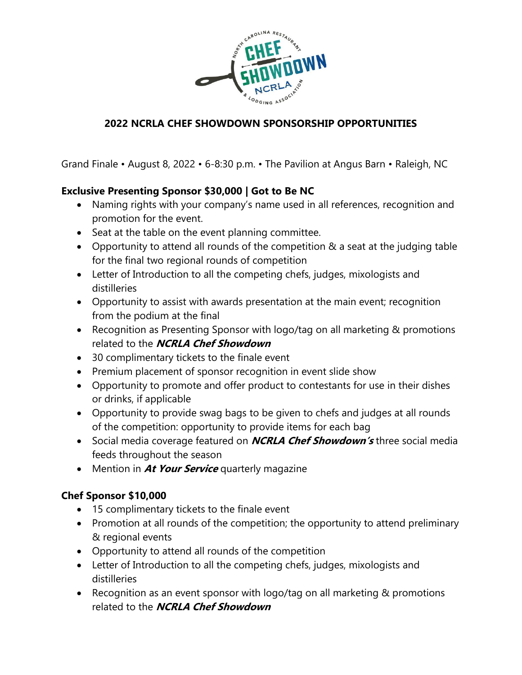

Grand Finale • August 8, 2022 • 6-8:30 p.m. • The Pavilion at Angus Barn • Raleigh, NC

#### **Exclusive Presenting Sponsor \$30,000 | Got to Be NC**

- Naming rights with your company's name used in all references, recognition and promotion for the event.
- Seat at the table on the event planning committee.
- Opportunity to attend all rounds of the competition & a seat at the judging table for the final two regional rounds of competition
- Letter of Introduction to all the competing chefs, judges, mixologists and distilleries
- Opportunity to assist with awards presentation at the main event; recognition from the podium at the final
- Recognition as Presenting Sponsor with logo/tag on all marketing & promotions related to the **NCRLA Chef Showdown**
- 30 complimentary tickets to the finale event
- Premium placement of sponsor recognition in event slide show
- Opportunity to promote and offer product to contestants for use in their dishes or drinks, if applicable
- Opportunity to provide swag bags to be given to chefs and judges at all rounds of the competition: opportunity to provide items for each bag
- Social media coverage featured on **NCRLA Chef Showdown's** three social media feeds throughout the season
- Mention in **At Your Service** quarterly magazine

#### **Chef Sponsor \$10,000**

- 15 complimentary tickets to the finale event
- Promotion at all rounds of the competition; the opportunity to attend preliminary & regional events
- Opportunity to attend all rounds of the competition
- Letter of Introduction to all the competing chefs, judges, mixologists and distilleries
- Recognition as an event sponsor with logo/tag on all marketing & promotions related to the **NCRLA Chef Showdown**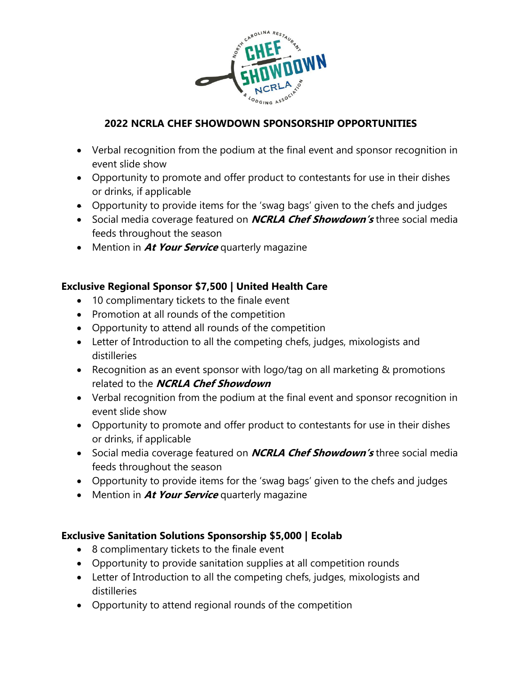

- Verbal recognition from the podium at the final event and sponsor recognition in event slide show
- Opportunity to promote and offer product to contestants for use in their dishes or drinks, if applicable
- Opportunity to provide items for the 'swag bags' given to the chefs and judges
- Social media coverage featured on **NCRLA Chef Showdown's** three social media feeds throughout the season
- Mention in **At Your Service** quarterly magazine

### **Exclusive Regional Sponsor \$7,500 | United Health Care**

- 10 complimentary tickets to the finale event
- Promotion at all rounds of the competition
- Opportunity to attend all rounds of the competition
- Letter of Introduction to all the competing chefs, judges, mixologists and distilleries
- Recognition as an event sponsor with logo/tag on all marketing & promotions related to the **NCRLA Chef Showdown**
- Verbal recognition from the podium at the final event and sponsor recognition in event slide show
- Opportunity to promote and offer product to contestants for use in their dishes or drinks, if applicable
- Social media coverage featured on **NCRLA Chef Showdown's** three social media feeds throughout the season
- Opportunity to provide items for the 'swag bags' given to the chefs and judges
- Mention in **At Your Service** quarterly magazine

#### **Exclusive Sanitation Solutions Sponsorship \$5,000 | Ecolab**

- 8 complimentary tickets to the finale event
- Opportunity to provide sanitation supplies at all competition rounds
- Letter of Introduction to all the competing chefs, judges, mixologists and distilleries
- Opportunity to attend regional rounds of the competition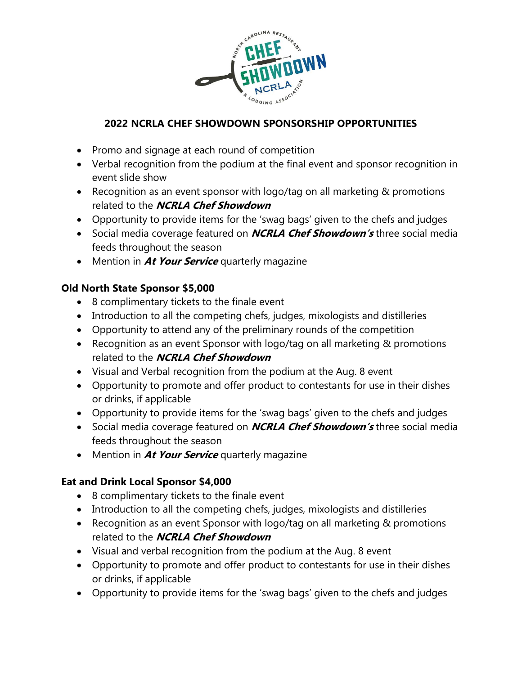

- Promo and signage at each round of competition
- Verbal recognition from the podium at the final event and sponsor recognition in event slide show
- Recognition as an event sponsor with logo/tag on all marketing & promotions related to the **NCRLA Chef Showdown**
- Opportunity to provide items for the 'swag bags' given to the chefs and judges
- Social media coverage featured on **NCRLA Chef Showdown's** three social media feeds throughout the season
- Mention in **At Your Service** quarterly magazine

### **Old North State Sponsor \$5,000**

- 8 complimentary tickets to the finale event
- Introduction to all the competing chefs, judges, mixologists and distilleries
- Opportunity to attend any of the preliminary rounds of the competition
- Recognition as an event Sponsor with logo/tag on all marketing & promotions related to the **NCRLA Chef Showdown**
- Visual and Verbal recognition from the podium at the Aug. 8 event
- Opportunity to promote and offer product to contestants for use in their dishes or drinks, if applicable
- Opportunity to provide items for the 'swag bags' given to the chefs and judges
- Social media coverage featured on **NCRLA Chef Showdown's** three social media feeds throughout the season
- Mention in **At Your Service** quarterly magazine

### **Eat and Drink Local Sponsor \$4,000**

- 8 complimentary tickets to the finale event
- Introduction to all the competing chefs, judges, mixologists and distilleries
- Recognition as an event Sponsor with logo/tag on all marketing & promotions related to the **NCRLA Chef Showdown**
- Visual and verbal recognition from the podium at the Aug. 8 event
- Opportunity to promote and offer product to contestants for use in their dishes or drinks, if applicable
- Opportunity to provide items for the 'swag bags' given to the chefs and judges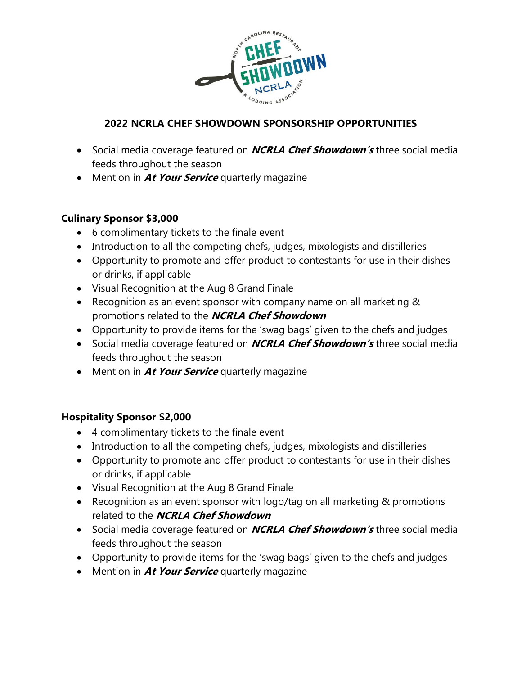

- Social media coverage featured on **NCRLA Chef Showdown's** three social media feeds throughout the season
- Mention in **At Your Service** quarterly magazine

#### **Culinary Sponsor \$3,000**

- 6 complimentary tickets to the finale event
- Introduction to all the competing chefs, judges, mixologists and distilleries
- Opportunity to promote and offer product to contestants for use in their dishes or drinks, if applicable
- Visual Recognition at the Aug 8 Grand Finale
- Recognition as an event sponsor with company name on all marketing & promotions related to the **NCRLA Chef Showdown**
- Opportunity to provide items for the 'swag bags' given to the chefs and judges
- Social media coverage featured on **NCRLA Chef Showdown's** three social media feeds throughout the season
- Mention in **At Your Service** quarterly magazine

#### **Hospitality Sponsor \$2,000**

- 4 complimentary tickets to the finale event
- Introduction to all the competing chefs, judges, mixologists and distilleries
- Opportunity to promote and offer product to contestants for use in their dishes or drinks, if applicable
- Visual Recognition at the Aug 8 Grand Finale
- Recognition as an event sponsor with logo/tag on all marketing & promotions related to the **NCRLA Chef Showdown**
- Social media coverage featured on **NCRLA Chef Showdown's** three social media feeds throughout the season
- Opportunity to provide items for the 'swag bags' given to the chefs and judges
- Mention in **At Your Service** quarterly magazine